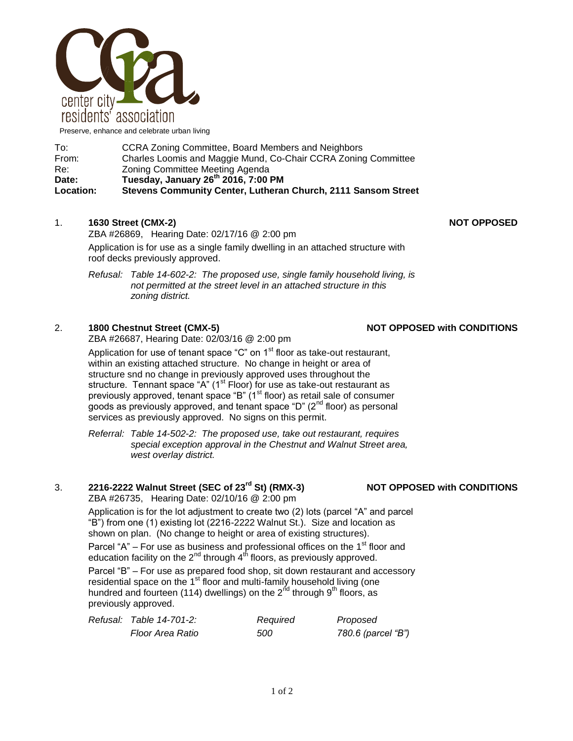

Preserve, enhance and celebrate urban living

| To:              | <b>CCRA Zoning Committee, Board Members and Neighbors</b>      |  |  |
|------------------|----------------------------------------------------------------|--|--|
| From:            | Charles Loomis and Maggie Mund, Co-Chair CCRA Zoning Committee |  |  |
| Re:              | Zoning Committee Meeting Agenda                                |  |  |
| Date:            | Tuesday, January 26th 2016, 7:00 PM                            |  |  |
| <b>Location:</b> | Stevens Community Center, Lutheran Church, 2111 Sansom Street  |  |  |

## 1. **1630 Street (CMX-2) NOT OPPOSED**

ZBA #26869, Hearing Date: 02/17/16 @ 2:00 pm Application is for use as a single family dwelling in an attached structure with roof decks previously approved.

*Refusal: Table 14-602-2: The proposed use, single family household living, is not permitted at the street level in an attached structure in this zoning district.*

### 2. **1800 Chestnut Street (CMX-5) NOT OPPOSED with CONDITIONS**

ZBA #26687, Hearing Date: 02/03/16 @ 2:00 pm

Application for use of tenant space "C" on  $1<sup>st</sup>$  floor as take-out restaurant, within an existing attached structure. No change in height or area of structure snd no change in previously approved uses throughout the structure. Tennant space "A" ( $1<sup>st</sup>$  Floor) for use as take-out restaurant as previously approved, tenant space "B" (1<sup>st</sup> floor) as retail sale of consumer goods as previously approved, and tenant space "D"  $(2^{nd}$  floor) as personal services as previously approved. No signs on this permit.

*Referral: Table 14-502-2: The proposed use, take out restaurant, requires special exception approval in the Chestnut and Walnut Street area, west overlay district.* 

## 3. **2216-2222 Walnut Street (SEC of 23rd St) (RMX-3) NOT OPPOSED with CONDITIONS**

ZBA #26735, Hearing Date: 02/10/16 @ 2:00 pm

Application is for the lot adjustment to create two (2) lots (parcel "A" and parcel "B") from one (1) existing lot (2216-2222 Walnut St.). Size and location as shown on plan. (No change to height or area of existing structures).

Parcel "A" – For use as business and professional offices on the  $1<sup>st</sup>$  floor and education facility on the  $2^{nd}$  through  $4^{th}$  floors, as previously approved.

Parcel "B" – For use as prepared food shop, sit down restaurant and accessory residential space on the 1<sup>st fl</sup>oor and multi-family household living (one hundred and fourteen (114) dwellings) on the  $2<sup>nd</sup>$  through  $9<sup>th</sup>$  floors, as previously approved.

| Refusal: Table 14-701-2: | Required | Proposed           |
|--------------------------|----------|--------------------|
| Floor Area Ratio         | 500      | 780.6 (parcel "B") |